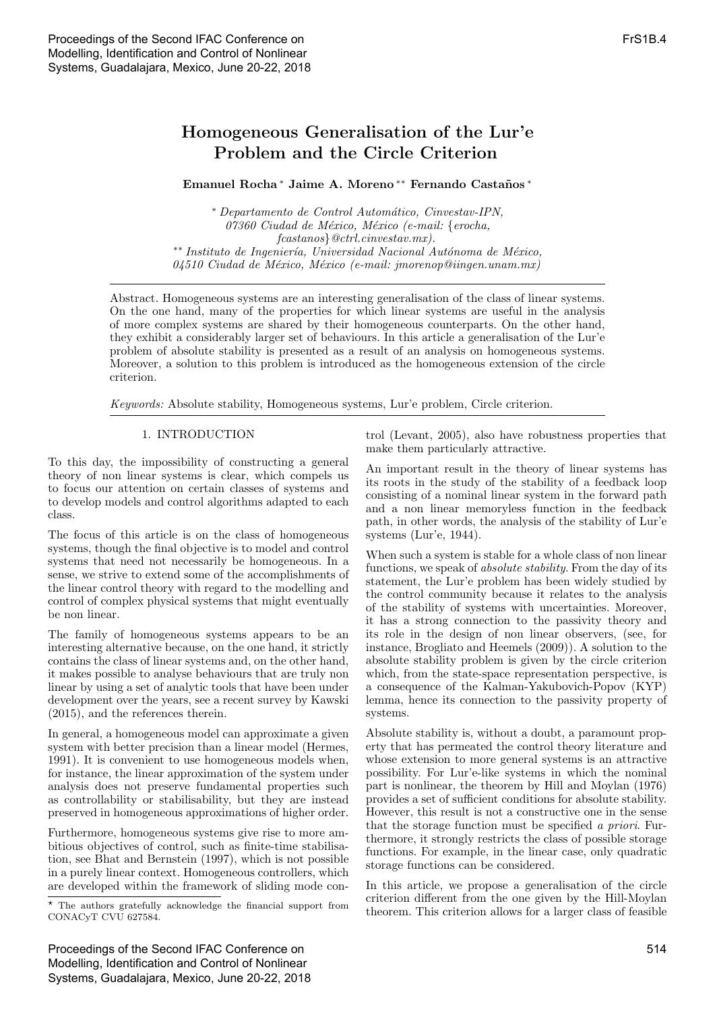# Homogeneous Generalisation of the Lur'e Problem and the Circle Criterion

## Emanuel Rocha<sup>\*</sup> Jaime A. Moreno<sup>\*\*</sup> Fernando Castaños<sup>\*</sup>

<sup>∗</sup> Departamento de Control Autom´atico, Cinvestav-IPN, 07360 Ciudad de México, México (e-mail: {erocha, fcastanos}@ctrl.cinvestav.mx). \*\* Instituto de Ingeniería, Universidad Nacional Autónoma de México,  $04510$  Ciudad de México, México (e-mail: jmorenop@iingen.unam.mx)

Abstract. Homogeneous systems are an interesting generalisation of the class of linear systems. On the one hand, many of the properties for which linear systems are useful in the analysis of more complex systems are shared by their homogeneous counterparts. On the other hand, they exhibit a considerably larger set of behaviours. In this article a generalisation of the Lur'e problem of absolute stability is presented as a result of an analysis on homogeneous systems. Moreover, a solution to this problem is introduced as the homogeneous extension of the circle criterion.

Keywords: Absolute stability, Homogeneous systems, Lur'e problem, Circle criterion.

#### 1. INTRODUCTION

To this day, the impossibility of constructing a general theory of non linear systems is clear, which compels us to focus our attention on certain classes of systems and to develop models and control algorithms adapted to each class.

The focus of this article is on the class of homogeneous systems, though the final objective is to model and control systems that need not necessarily be homogeneous. In a sense, we strive to extend some of the accomplishments of the linear control theory with regard to the modelling and control of complex physical systems that might eventually be non linear.

The family of homogeneous systems appears to be an interesting alternative because, on the one hand, it strictly contains the class of linear systems and, on the other hand, it makes possible to analyse behaviours that are truly non linear by using a set of analytic tools that have been under development over the years, see a recent survey by Kawski (2015), and the references therein.

In general, a homogeneous model can approximate a given system with better precision than a linear model (Hermes, 1991). It is convenient to use homogeneous models when, for instance, the linear approximation of the system under analysis does not preserve fundamental properties such as controllability or stabilisability, but they are instead preserved in homogeneous approximations of higher order.

Furthermore, homogeneous systems give rise to more ambitious objectives of control, such as finite-time stabilisation, see Bhat and Bernstein (1997), which is not possible in a purely linear context. Homogeneous controllers, which are developed within the framework of sliding mode con-

? The authors gratefully acknowledge the financial support from CONACyT CVU 627584.

Proceedings of the Second IFAC Conference on Modelling, Identification and Control of Nonlinear Systems, Guadalajara, Mexico, June 20-22, 2018 trol (Levant, 2005), also have robustness properties that make them particularly attractive.

An important result in the theory of linear systems has its roots in the study of the stability of a feedback loop consisting of a nominal linear system in the forward path and a non linear memoryless function in the feedback path, in other words, the analysis of the stability of Lur'e systems (Lur'e, 1944).

When such a system is stable for a whole class of non linear functions, we speak of absolute stability. From the day of its statement, the Lur'e problem has been widely studied by the control community because it relates to the analysis of the stability of systems with uncertainties. Moreover, it has a strong connection to the passivity theory and its role in the design of non linear observers, (see, for instance, Brogliato and Heemels (2009)). A solution to the absolute stability problem is given by the circle criterion which, from the state-space representation perspective, is a consequence of the Kalman-Yakubovich-Popov (KYP) lemma, hence its connection to the passivity property of systems.

Absolute stability is, without a doubt, a paramount property that has permeated the control theory literature and whose extension to more general systems is an attractive possibility. For Lur'e-like systems in which the nominal part is nonlinear, the theorem by Hill and Moylan (1976) provides a set of sufficient conditions for absolute stability. However, this result is not a constructive one in the sense that the storage function must be specified a priori. Furthermore, it strongly restricts the class of possible storage functions. For example, in the linear case, only quadratic storage functions can be considered.

In this article, we propose a generalisation of the circle criterion different from the one given by the Hill-Moylan theorem. This criterion allows for a larger class of feasible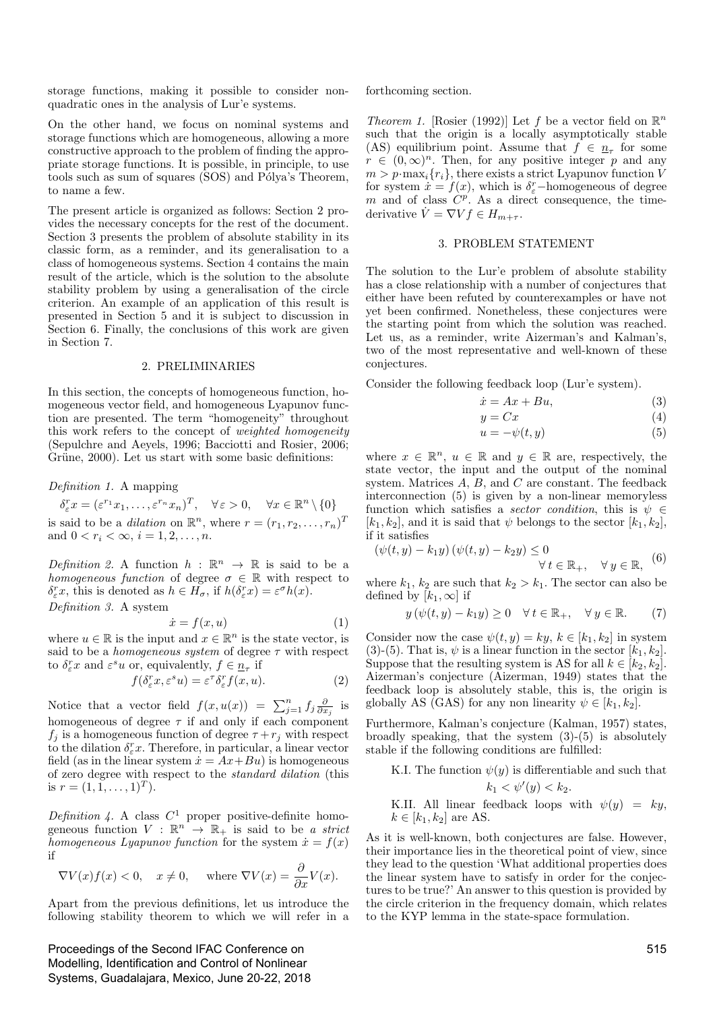storage functions, making it possible to consider nonquadratic ones in the analysis of Lur'e systems.

On the other hand, we focus on nominal systems and storage functions which are homogeneous, allowing a more constructive approach to the problem of finding the appropriate storage functions. It is possible, in principle, to use tools such as sum of squares (SOS) and Pólya's Theorem, to name a few.

The present article is organized as follows: Section 2 provides the necessary concepts for the rest of the document. Section 3 presents the problem of absolute stability in its classic form, as a reminder, and its generalisation to a class of homogeneous systems. Section 4 contains the main result of the article, which is the solution to the absolute stability problem by using a generalisation of the circle criterion. An example of an application of this result is presented in Section 5 and it is subject to discussion in Section 6. Finally, the conclusions of this work are given in Section 7.

#### 2. PRELIMINARIES

In this section, the concepts of homogeneous function, homogeneous vector field, and homogeneous Lyapunov function are presented. The term "homogeneity" throughout this work refers to the concept of *weighted homogeneity* (Sepulchre and Aeyels, 1996; Bacciotti and Rosier, 2006; Grüne, 2000). Let us start with some basic definitions:

Definition 1. A mapping

$$
\delta_{\varepsilon}^r x = (\varepsilon^{r_1} x_1, \dots, \varepsilon^{r_n} x_n)^T, \quad \forall \varepsilon > 0, \quad \forall x \in \mathbb{R}^n \setminus \{0\}
$$

is said to be a *dilation* on  $\mathbb{R}^n$ , where  $r = (r_1, r_2, \dots, r_n)^T$ and  $0 < r_i < \infty$ ,  $i = 1, 2, ..., n$ .

Definition 2. A function  $h : \mathbb{R}^n \to \mathbb{R}$  is said to be a homogeneous function of degree  $\sigma \in \mathbb{R}$  with respect to  $\delta_{\varepsilon}^r x$ , this is denoted as  $h \in H_{\sigma}$ , if  $h(\delta_{\varepsilon}^r x) = \varepsilon^{\sigma} h(x)$ . Definition 3. A system

$$
\dot{x} = f(x, u) \tag{1}
$$

where  $u \in \mathbb{R}$  is the input and  $x \in \mathbb{R}^n$  is the state vector, is said to be a *homogeneous system* of degree  $\tau$  with respect to  $\delta^r_\varepsilon x$  and  $\varepsilon^s u$  or, equivalently,  $f \in \underline{n_\tau}$  if

$$
f(\delta^r_{\varepsilon}x, \varepsilon^s u) = \varepsilon^{\tau} \delta^r_{\varepsilon} f(x, u). \tag{2}
$$

Notice that a vector field  $f(x, u(x)) = \sum_{j=1}^{n} f_j \frac{\partial}{\partial x_j}$  is homogeneous of degree  $\tau$  if and only if each component  $f_j$  is a homogeneous function of degree  $\tau + r_j$  with respect to the dilation  $\delta_{\varepsilon}^r x$ . Therefore, in particular, a linear vector field (as in the linear system  $\dot{x} = Ax + Bu$ ) is homogeneous of zero degree with respect to the standard dilation (this is  $r = (1, 1, \ldots, 1)^T$ .

Definition 4. A class  $C^1$  proper positive-definite homogeneous function  $V : \mathbb{R}^n \to \mathbb{R}_+$  is said to be a strict homogeneous Lyapunov function for the system  $\dot{x} = f(x)$ if

$$
\nabla V(x)f(x) < 0, \quad x \neq 0, \quad \text{where } \nabla V(x) = \frac{\partial}{\partial x}V(x).
$$

Apart from the previous definitions, let us introduce the following stability theorem to which we will refer in a

Proceedings of the Second IFAC Conference on Modelling, Identification and Control of Nonlinear Systems, Guadalajara, Mexico, June 20-22, 2018 forthcoming section.

Theorem 1. [Rosier (1992)] Let f be a vector field on  $\mathbb{R}^n$ such that the origin is a locally asymptotically stable (AS) equilibrium point. Assume that  $f \in \underline{n}_{\tau}$  for some  $r \in (0,\infty)^n$ . Then, for any positive integer p and any  $m > p \cdot \max_i \{r_i\}$ , there exists a strict Lyapunov function V for system  $\dot{x} = f(x)$ , which is  $\delta^r_{\varepsilon}$ -homogeneous of degree m and of class  $\hat{C}^{p}$ . As a direct consequence, the timederivative  $\dot{V} = \nabla V f \in H_{m+\tau}$ .

#### 3. PROBLEM STATEMENT

The solution to the Lur'e problem of absolute stability has a close relationship with a number of conjectures that either have been refuted by counterexamples or have not yet been confirmed. Nonetheless, these conjectures were the starting point from which the solution was reached. Let us, as a reminder, write Aizerman's and Kalman's, two of the most representative and well-known of these conjectures.

Consider the following feedback loop (Lur'e system).

$$
\dot{x} = Ax + Bu,\tag{3}
$$

$$
y = Cx \tag{4}
$$

$$
u = -\psi(t, y) \tag{5}
$$

where  $x \in \mathbb{R}^n$ ,  $u \in \mathbb{R}$  and  $y \in \mathbb{R}$  are, respectively, the state vector, the input and the output of the nominal system. Matrices  $A, B$ , and  $C$  are constant. The feedback interconnection (5) is given by a non-linear memoryless function which satisfies a *sector condition*, this is  $\psi \in$  $[k_1, k_2]$ , and it is said that  $\psi$  belongs to the sector  $[k_1, k_2]$ , if it satisfies

$$
(\psi(t, y) - k_1 y) (\psi(t, y) - k_2 y) \le 0
$$
  

$$
\forall t \in \mathbb{R}_+, \quad \forall y \in \mathbb{R}, \quad (6)
$$

where  $k_1, k_2$  are such that  $k_2 > k_1$ . The sector can also be defined by  $[k_1,\infty]$  if

$$
y(\psi(t, y) - k_1 y) \ge 0 \quad \forall \, t \in \mathbb{R}_+, \quad \forall \, y \in \mathbb{R}.\tag{7}
$$

Consider now the case  $\psi(t, y) = ky, k \in [k_1, k_2]$  in system (3)-(5). That is,  $\psi$  is a linear function in the sector  $[k_1, k_2]$ . Suppose that the resulting system is AS for all  $k \in [k_2, k_2]$ . Aizerman's conjecture (Aizerman, 1949) states that the feedback loop is absolutely stable, this is, the origin is globally AS (GAS) for any non linearity  $\psi \in [k_1, k_2]$ .

Furthermore, Kalman's conjecture (Kalman, 1957) states, broadly speaking, that the system (3)-(5) is absolutely stable if the following conditions are fulfilled:

K.I. The function  $\psi(y)$  is differentiable and such that  $k_1 < \psi'(y) < k_2.$ 

K.II. All linear feedback loops with  $\psi(y) = ky$ ,  $k \in [k_1, k_2]$  are AS.

As it is well-known, both conjectures are false. However, their importance lies in the theoretical point of view, since they lead to the question 'What additional properties does the linear system have to satisfy in order for the conjectures to be true?' An answer to this question is provided by the circle criterion in the frequency domain, which relates to the KYP lemma in the state-space formulation.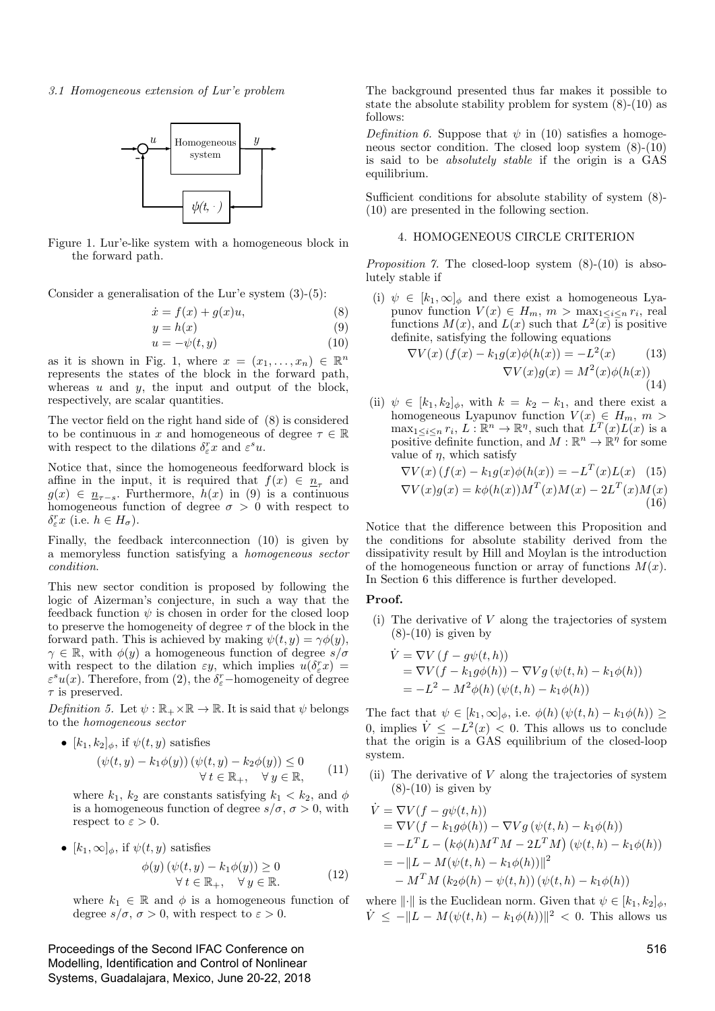3.1 Homogeneous extension of Lur'e problem



Figure 1. Lur'e-like system with a homogeneous block in the forward path.

Consider a generalisation of the Lur'e system (3)-(5):

$$
\dot{x} = f(x) + g(x)u,\tag{8}
$$

$$
y = h(x) \tag{9}
$$

$$
u = -\psi(t, y) \tag{10}
$$

as it is shown in Fig. 1, where  $x = (x_1, \ldots, x_n) \in \mathbb{R}^n$ represents the states of the block in the forward path, whereas  $u$  and  $y$ , the input and output of the block, respectively, are scalar quantities.

The vector field on the right hand side of (8) is considered to be continuous in x and homogeneous of degree  $\tau \in \mathbb{R}$ with respect to the dilations  $\delta_{\varepsilon}^r x$  and  $\varepsilon^s u$ .

Notice that, since the homogeneous feedforward block is affine in the input, it is required that  $f(x) \in \underline{n}_{\tau}$  and  $g(x) \in \underline{n}_{\tau-s}$ . Furthermore,  $h(x)$  in (9) is a continuous homogeneous function of degree  $\sigma > 0$  with respect to  $\delta_r^r x$  (i.e.  $h \in H_\sigma$ ).

Finally, the feedback interconnection (10) is given by a memoryless function satisfying a homogeneous sector condition .

This new sector condition is proposed by following the logic of Aizerman's conjecture, in such a way that the feedback function  $\psi$  is chosen in order for the closed loop to preserve the homogeneity of degree  $\tau$  of the block in the forward path. This is achieved by making  $\psi(t, y) = \gamma \phi(y)$ ,  $\gamma \in \mathbb{R}$ , with  $\phi(y)$  a homogeneous function of degree  $s/\sigma$ with respect to the dilation  $\varepsilon y$ , which implies  $u(\delta_{\varepsilon}^r x) =$  $\varepsilon^s u(x)$ . Therefore, from (2), the  $\delta_{\varepsilon}^r$ -homogeneity of degree  $\tau$  is preserved.

Definition 5. Let  $\psi : \mathbb{R}_+ \times \mathbb{R} \to \mathbb{R}$ . It is said that  $\psi$  belongs to the homogeneous sector

•  $[k_1, k_2]_\phi$ , if  $\psi(t, y)$  satisfies

$$
(\psi(t, y) - k_1 \phi(y)) (\psi(t, y) - k_2 \phi(y)) \le 0
$$
  
 
$$
\forall t \in \mathbb{R}_+, \quad \forall y \in \mathbb{R}, \qquad (11)
$$

where  $k_1$ ,  $k_2$  are constants satisfying  $k_1 < k_2$ , and  $\phi$ is a homogeneous function of degree  $s/\sigma$ ,  $\sigma > 0$ , with respect to  $\varepsilon > 0$ .

•  $[k_1, \infty]_\phi$ , if  $\psi(t, y)$  satisfies

$$
\begin{aligned} \phi(y) \left( \psi(t, y) - k_1 \phi(y) \right) &\ge 0 \\ \forall \, t \in \mathbb{R}_+, \quad \forall \, y \in \mathbb{R}. \end{aligned} \tag{12}
$$

where  $k_1 \in \mathbb{R}$  and  $\phi$  is a homogeneous function of degree  $s/\sigma$ ,  $\sigma > 0$ , with respect to  $\varepsilon > 0$ .

Proceedings of the Second IFAC Conference on Modelling, Identification and Control of Nonlinear Systems, Guadalajara, Mexico, June 20-22, 2018 The background presented thus far makes it possible to state the absolute stability problem for system (8)-(10) as follows:

Definition 6. Suppose that  $\psi$  in (10) satisfies a homogeneous sector condition. The closed loop system (8)-(10) is said to be absolutely stable if the origin is a GAS equilibrium.

Sufficient conditions for absolute stability of system (8)- (10) are presented in the following section.

#### 4. HOMOGENEOUS CIRCLE CRITERION

*Proposition 7.* The closed-loop system  $(8)-(10)$  is absolutely stable if

(i)  $\psi \in [k_1, \infty]_{\phi}$  and there exist a homogeneous Lyapunov function  $V(x) \in H_m$ ,  $m > \max_{1 \leq i \leq n} r_i$ , real functions  $M(x)$ , and  $L(x)$  such that  $L^2(x)$  is positive definite, satisfying the following equations

$$
\nabla V(x) \left( f(x) - k_1 g(x) \phi(h(x)) \right) = -L^2(x) \tag{13}
$$

$$
\nabla V(x)g(x) = M^2(x)\phi(h(x)) \tag{14}
$$

(ii)  $\psi \in [k_1, k_2]_{\phi}$ , with  $k = k_2 - k_1$ , and there exist a homogeneous Lyapunov function  $V(x) \in H_m$ ,  $m >$  $\max_{1 \leq i \leq n} r_i, L: \mathbb{R}^n \to \mathbb{R}^n$ , such that  $L^T(x)L(x)$  is a positive definite function, and  $M : \mathbb{R}^n \to \mathbb{R}^{\eta}$  for some value of  $\eta$ , which satisfy

$$
\nabla V(x) (f(x) - k_1 g(x)\phi(h(x)) = -L^T(x)L(x) \quad (15)
$$
  

$$
\nabla V(x)g(x) = k\phi(h(x))M^T(x)M(x) - 2L^T(x)M(x)
$$
(16)

Notice that the difference between this Proposition and the conditions for absolute stability derived from the dissipativity result by Hill and Moylan is the introduction of the homogeneous function or array of functions  $M(x)$ . In Section 6 this difference is further developed.

## Proof.

(i) The derivative of V along the trajectories of system  $(8)-(10)$  is given by

$$
\dot{V} = \nabla V (f - g\psi(t, h))
$$
  
=  $\nabla V (f - k_1 g\phi(h)) - \nabla V g (\psi(t, h) - k_1 \phi(h))$   
=  $-L^2 - M^2 \phi(h) (\psi(t, h) - k_1 \phi(h))$ 

The fact that  $\psi \in [k_1, \infty]_\phi$ , i.e.  $\phi(h) (\psi(t, h) - k_1 \phi(h)) \ge$ 0, implies  $\dot{V} \leq -L^2(x) < 0$ . This allows us to conclude that the origin is a GAS equilibrium of the closed-loop system.

(ii) The derivative of V along the trajectories of system  $(8)-(10)$  is given by

$$
\dot{V} = \nabla V(f - g\psi(t, h))
$$
\n
$$
= \nabla V(f - k_1 g\phi(h)) - \nabla Vg(\psi(t, h) - k_1 \phi(h))
$$
\n
$$
= -L^T L - (k\phi(h)M^T M - 2L^T M)(\psi(t, h) - k_1 \phi(h))
$$
\n
$$
= -\|L - M(\psi(t, h) - k_1 \phi(h))\|^2
$$
\n
$$
-M^T M (k_2 \phi(h) - \psi(t, h)) (\psi(t, h) - k_1 \phi(h))
$$

where  $\|\cdot\|$  is the Euclidean norm. Given that  $\psi \in [k_1, k_2]_{\phi}$ ,  $\dot{V} \leq -\|L - M(\psi(t, h) - k_1 \phi(h))\|^2 < 0$ . This allows us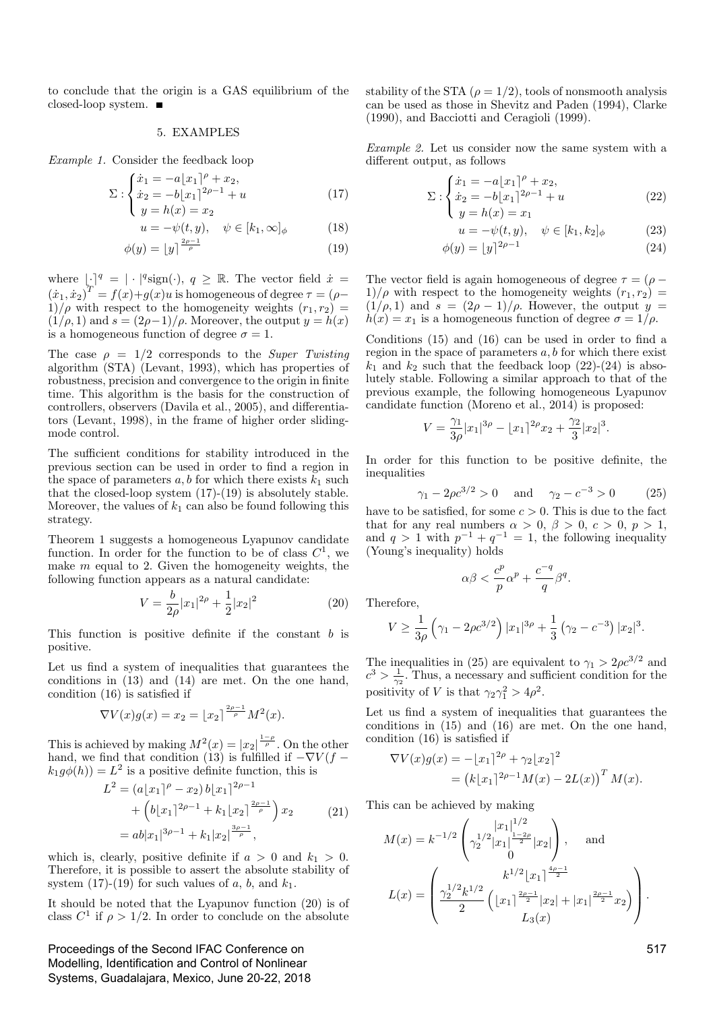to conclude that the origin is a GAS equilibrium of the closed-loop system.

## 5. EXAMPLES

Example 1. Consider the feedback loop

$$
\Sigma: \begin{cases} \dot{x}_1 = -a[x_1]^\rho + x_2, \\ \dot{x}_2 = -b[x_1]^{2\rho - 1} + u \\ y = h(x) = x_2 \end{cases}
$$
(17)

$$
(y = h(x) = x_2
$$

$$
u = -\psi(t, y), \quad \psi \in [k_1, \infty]_{\phi} \tag{18}
$$

$$
\phi(y) = \lfloor y \rfloor^{\frac{p}{\rho}} \tag{19}
$$

where  $|\cdot|^q = |\cdot|^q \text{sign}(\cdot), q \geq \mathbb{R}$ . The vector field  $\dot{x} =$  $(\dot{x}_1, \dot{x}_2)^T = f(x) + g(x)u$  is homogeneous of degree  $\tau = (\rho - \frac{1}{2})$  $1)/\rho$  with respect to the homogeneity weights  $(r_1, r_2)$  =  $(1/\rho, 1)$  and  $s = (2\rho - 1)/\rho$ . Moreover, the output  $y = h(x)$ is a homogeneous function of degree  $\sigma = 1$ .

The case  $\rho = 1/2$  corresponds to the *Super Twisting* algorithm (STA) (Levant, 1993), which has properties of robustness, precision and convergence to the origin in finite time. This algorithm is the basis for the construction of controllers, observers (Davila et al., 2005), and differentiators (Levant, 1998), in the frame of higher order slidingmode control.

The sufficient conditions for stability introduced in the previous section can be used in order to find a region in the space of parameters  $a, b$  for which there exists  $k_1$  such that the closed-loop system (17)-(19) is absolutely stable. Moreover, the values of  $k_1$  can also be found following this strategy.

Theorem 1 suggests a homogeneous Lyapunov candidate function. In order for the function to be of class  $C^1$ , we make *m* equal to 2. Given the homogeneity weights, the following function appears as a natural candidate:

$$
V = \frac{b}{2\rho}|x_1|^{2\rho} + \frac{1}{2}|x_2|^2 \tag{20}
$$

This function is positive definite if the constant  $b$  is positive.

Let us find a system of inequalities that guarantees the conditions in (13) and (14) are met. On the one hand, condition (16) is satisfied if

$$
\nabla V(x)g(x) = x_2 = \lfloor x_2 \rfloor^{\frac{2\rho - 1}{\rho}} M^2(x).
$$

This is achieved by making  $M^2(x) = |x_2|^{\frac{1-\rho}{\rho}}$ . On the other hand, we find that condition (13) is fulfilled if  $-\nabla V(f$  $k_1 g\phi(h) = L^2$  is a positive definite function, this is

$$
L^{2} = (a \lfloor x_{1} \rfloor^{\rho} - x_{2}) b \lfloor x_{1} \rfloor^{2\rho - 1}
$$
  
+ 
$$
\left(b \lfloor x_{1} \rfloor^{2\rho - 1} + k_{1} \lfloor x_{2} \rfloor^{\frac{2\rho - 1}{\rho}}\right) x_{2}
$$
  
= 
$$
ab \lvert x_{1} \rvert^{3\rho - 1} + k_{1} \lvert x_{2} \rvert^{\frac{3\rho - 1}{\rho}},
$$
 (21)

which is, clearly, positive definite if  $a > 0$  and  $k_1 > 0$ . Therefore, it is possible to assert the absolute stability of system  $(17)-(19)$  for such values of a, b, and  $k_1$ .

It should be noted that the Lyapunov function (20) is of class  $C^1$  if  $\rho > 1/2$ . In order to conclude on the absolute

Proceedings of the Second IFAC Conference on Modelling, Identification and Control of Nonlinear Systems, Guadalajara, Mexico, June 20-22, 2018

stability of the STA  $(\rho = 1/2)$ , tools of nonsmooth analysis can be used as those in Shevitz and Paden (1994), Clarke (1990), and Bacciotti and Ceragioli (1999).

Example 2. Let us consider now the same system with a different output, as follows

$$
\Sigma: \begin{cases} \dot{x}_1 = -a\lfloor x_1 \rfloor^{\rho} + x_2, \\ \dot{x}_2 = -b\lfloor x_1 \rfloor^{2\rho - 1} + u \\ y = h(x) = x_1 \end{cases}
$$
 (22)

$$
u = -\psi(t, y), \quad \psi \in [k_1, k_2]_{\phi} \tag{23}
$$

$$
\phi(y) = \lfloor y \rfloor^{2\rho - 1} \tag{24}
$$

The vector field is again homogeneous of degree  $\tau = (\rho - \mathcal{E})$  $1)/\rho$  with respect to the homogeneity weights  $(r_1, r_2)$  =  $(1/\rho, 1)$  and  $s = (2\rho - 1)/\rho$ . However, the output  $y =$  $h(x) = x_1$  is a homogeneous function of degree  $\sigma = 1/\rho$ .

 $\overline{Q}$ 

Conditions (15) and (16) can be used in order to find a region in the space of parameters  $a, b$  for which there exist  $k_1$  and  $k_2$  such that the feedback loop (22)-(24) is absolutely stable. Following a similar approach to that of the previous example, the following homogeneous Lyapunov candidate function (Moreno et al., 2014) is proposed:

$$
V = \frac{\gamma_1}{3\rho}|x_1|^{3\rho} - |x_1|^{2\rho}x_2 + \frac{\gamma_2}{3}|x_2|^3.
$$

In order for this function to be positive definite, the inequalities

$$
\gamma_1 - 2\rho c^{3/2} > 0
$$
 and  $\gamma_2 - c^{-3} > 0$  (25)

have to be satisfied, for some  $c > 0$ . This is due to the fact that for any real numbers  $\alpha > 0$ ,  $\beta > 0$ ,  $c > 0$ ,  $p > 1$ , and  $q > 1$  with  $p^{-1} + q^{-1} = 1$ , the following inequality (Young's inequality) holds

$$
\alpha\beta < \frac{c^p}{p}\alpha^p + \frac{c^{-q}}{q}\beta^q.
$$

Therefore,

$$
V \ge \frac{1}{3\rho} \left( \gamma_1 - 2\rho c^{3/2} \right) |x_1|^{3\rho} + \frac{1}{3} \left( \gamma_2 - c^{-3} \right) |x_2|^3.
$$

The inequalities in (25) are equivalent to  $\gamma_1 > 2\rho c^{3/2}$  and  $c^3 > \frac{1}{\gamma_2}$ . Thus, a necessary and sufficient condition for the positivity of V is that  $\gamma_2 \gamma_1^2 > 4\rho^2$ .

Let us find a system of inequalities that guarantees the conditions in (15) and (16) are met. On the one hand, condition (16) is satisfied if

$$
\nabla V(x)g(x) = -[x_1]^{2\rho} + \gamma_2[x_2]^2
$$
  
=  $(k[x_1]^{2\rho-1}M(x) - 2L(x))^T M(x)$ .

This can be achieved by making

$$
M(x) = k^{-1/2} \begin{pmatrix} |x_1|^{1/2} \\ \gamma_2^{1/2} |x_1|^{\frac{1-2\rho}{2}} |x_2| \\ 0 \end{pmatrix}, \text{ and}
$$

$$
L(x) = \begin{pmatrix} k^{1/2} |x_1|^{\frac{4\rho - 1}{2}} \\ \frac{\gamma_2^{1/2} k^{1/2}}{2} \left( |x_1|^{\frac{2\rho - 1}{2}} |x_2| + |x_1|^{\frac{2\rho - 1}{2}} x_2 \right) \\ L_3(x) \end{pmatrix}.
$$

517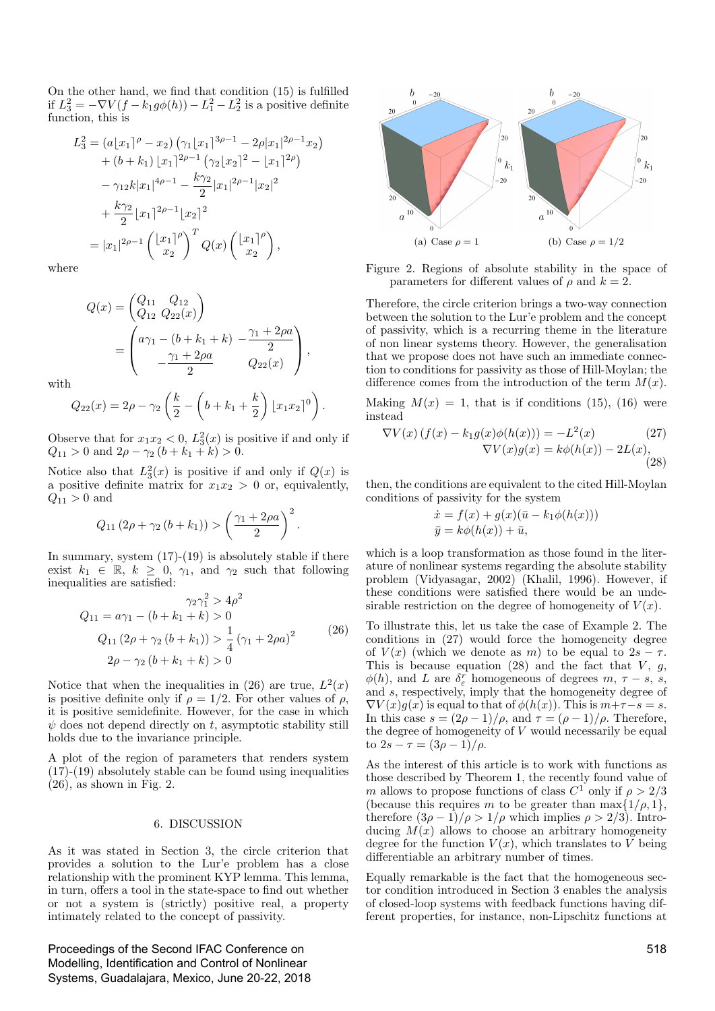On the other hand, we find that condition (15) is fulfilled if  $L_3^2 = -\nabla V(f - k_1 g\phi(h)) - L_1^2 - L_2^2$  is a positive definite function, this is

$$
L_3^2 = (a\lfloor x_1 \rfloor^{\rho} - x_2) \left( \gamma_1 \lfloor x_1 \rfloor^{3\rho - 1} - 2\rho |x_1|^{2\rho - 1} x_2 \right)
$$
  
+ 
$$
(b + k_1) \lfloor x_1 \rfloor^{2\rho - 1} \left( \gamma_2 \lfloor x_2 \rfloor^2 - \lfloor x_1 \rfloor^{2\rho} \right)
$$
  
- 
$$
\gamma_{12} k |x_1|^{4\rho - 1} - \frac{k\gamma_2}{2} |x_1|^{2\rho - 1} |x_2|^2
$$
  
+ 
$$
\frac{k\gamma_2}{2} |x_1|^{2\rho - 1} \lfloor x_2 \rfloor^2
$$
  
= 
$$
|x_1|^{2\rho - 1} \left( \frac{|x_1|^{\rho}}{x_2} \right)^T Q(x) \left( \frac{|x_1|^{\rho}}{x_2} \right),
$$

where

$$
Q(x) = \begin{pmatrix} Q_{11} & Q_{12} \\ Q_{12} & Q_{22}(x) \end{pmatrix}
$$
  
= 
$$
\begin{pmatrix} a\gamma_1 - (b+k_1+k) & -\frac{\gamma_1 + 2\rho a}{2} \\ -\frac{\gamma_1 + 2\rho a}{2} & Q_{22}(x) \end{pmatrix},
$$

with

$$
Q_{22}(x) = 2\rho - \gamma_2 \left(\frac{k}{2} - \left(b + k_1 + \frac{k}{2}\right) \lfloor x_1 x_2 \rfloor^0\right).
$$

Observe that for  $x_1x_2 < 0$ ,  $L_3^2(x)$  is positive if and only if  $Q_{11} > 0$  and  $2\rho - \gamma_2 (b + k_1 + k) > 0$ .

Notice also that  $L_3^2(x)$  is positive if and only if  $Q(x)$  is a positive definite matrix for  $x_1x_2 > 0$  or, equivalently,  $Q_{11} > 0$  and

$$
Q_{11}(2\rho + \gamma_2(b + k_1)) > \left(\frac{\gamma_1 + 2\rho a}{2}\right)^2.
$$

In summary, system  $(17)-(19)$  is absolutely stable if there exist  $k_1 \in \mathbb{R}$ ,  $k \geq 0$ ,  $\gamma_1$ , and  $\gamma_2$  such that following inequalities are satisfied:

$$
\gamma_2 \gamma_1^2 > 4\rho^2
$$
  
\n
$$
Q_{11} = a\gamma_1 - (b + k_1 + k) > 0
$$
  
\n
$$
Q_{11} (2\rho + \gamma_2 (b + k_1)) > \frac{1}{4} (\gamma_1 + 2\rho a)^2
$$
\n
$$
2\rho - \gamma_2 (b + k_1 + k) > 0
$$
\n(26)

Notice that when the inequalities in (26) are true,  $L^2(x)$ is positive definite only if  $\rho = 1/2$ . For other values of  $\rho$ , it is positive semidefinite. However, for the case in which  $\psi$  does not depend directly on t, asymptotic stability still holds due to the invariance principle.

A plot of the region of parameters that renders system  $(17)-(19)$  absolutely stable can be found using inequalities  $(26)$ , as shown in Fig. 2.

#### 6. DISCUSSION

As it was stated in Section 3, the circle criterion that provides a solution to the Lur'e problem has a close relationship with the prominent KYP lemma. This lemma, in turn, offers a tool in the state-space to find out whether or not a system is (strictly) positive real, a property intimately related to the concept of passivity.

Proceedings of the Second IFAC Conference on Modelling, Identification and Control of Nonlinear Systems, Guadalajara, Mexico, June 20-22, 2018



Figure 2. Regions of absolute stability in the space of parameters for different values of  $\rho$  and  $k=2$ .

Therefore, the circle criterion brings a two-way connection between the solution to the Lur'e problem and the concept of passivity, which is a recurring theme in the literature of non linear systems theory. However, the generalisation that we propose does not have such an immediate connection to conditions for passivity as those of Hill-Moylan; the difference comes from the introduction of the term  $M(x)$ .

Making  $M(x) = 1$ , that is if conditions (15), (16) were instead

$$
\nabla V(x) \left( f(x) - k_1 g(x) \phi(h(x)) \right) = -L^2(x) \tag{27}
$$
  

$$
\nabla V(x) g(x) = k \phi(h(x)) - 2L(x), \tag{28}
$$

then, the conditions are equivalent to the cited Hill-Moylan conditions of passivity for the system

$$
\begin{aligned} \dot{x} &= f(x) + g(x)(\bar{u} - k_1 \phi(h(x))) \\ \bar{y} &= k \phi(h(x)) + \bar{u}, \end{aligned}
$$

which is a loop transformation as those found in the literature of nonlinear systems regarding the absolute stability problem (Vidyasagar, 2002) (Khalil, 1996). However, if these conditions were satisfied there would be an undesirable restriction on the degree of homogeneity of  $V(x)$ .

To illustrate this, let us take the case of Example 2. The conditions in (27) would force the homogeneity degree of  $V(x)$  (which we denote as m) to be equal to  $2s - \tau$ . This is because equation (28) and the fact that  $V, g$ ,  $\phi(h)$ , and L are  $\delta_{\varepsilon}^r$  homogeneous of degrees  $m, \tau - s$ , s, and s, respectively, imply that the homogeneity degree of  $\nabla V(x)g(x)$  is equal to that of  $\phi(h(x))$ . This is  $m+\tau-s=s$ . In this case  $s = (2\rho - 1)/\rho$ , and  $\tau = (\rho - 1)/\rho$ . Therefore, the degree of homogeneity of  $V$  would necessarily be equal to  $2s - \tau = (3\rho - 1)/\rho$ .

As the interest of this article is to work with functions as those described by Theorem 1, the recently found value of m allows to propose functions of class  $C^{1}$  only if  $\rho > 2/3$ (because this requires m to be greater than  $\max\{1/\rho, 1\}$ , therefore  $(3\rho - 1)/\rho > 1/\rho$  which implies  $\rho > 2/3$ ). Introducing  $M(x)$  allows to choose an arbitrary homogeneity degree for the function  $V(x)$ , which translates to V being differentiable an arbitrary number of times.

Equally remarkable is the fact that the homogeneous sector condition introduced in Section 3 enables the analysis of closed-loop systems with feedback functions having different properties, for instance, non-Lipschitz functions at